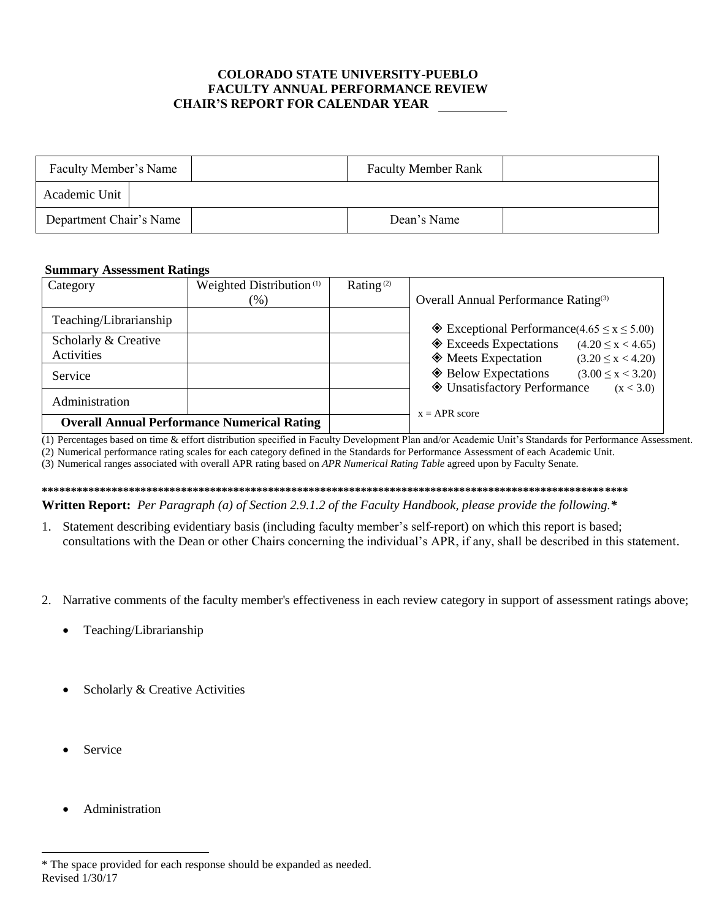## **COLORADO STATE UNIVERSITY-PUEBLO FACULTY ANNUAL PERFORMANCE REVIEW CHAIR'S REPORT FOR CALENDAR YEAR**

| Faculty Member's Name   |  | <b>Faculty Member Rank</b> |  |
|-------------------------|--|----------------------------|--|
| Academic Unit           |  |                            |  |
| Department Chair's Name |  | Dean's Name                |  |

## **Summary Assessment Ratings**

| Category                                           | Weighted Distribution <sup>(1)</sup> | Rating <sup>(2)</sup> |                                                         |                         |
|----------------------------------------------------|--------------------------------------|-----------------------|---------------------------------------------------------|-------------------------|
|                                                    | $(\% )$                              |                       | Overall Annual Performance Rating <sup>(3)</sup>        |                         |
| Teaching/Librarianship                             |                                      |                       |                                                         |                         |
|                                                    |                                      |                       | $\&$ Exceptional Performance(4.65 $\leq$ x $\leq$ 5.00) |                         |
| Scholarly & Creative                               |                                      |                       | ♦ Exceeds Expectations                                  | $(4.20 \le x < 4.65)$   |
| Activities                                         |                                      |                       | $\Diamond$ Meets Expectation                            | $(3.20 \le x < 4.20)$   |
| Service                                            |                                      |                       | ♦ Below Expectations                                    | $(3.00 \le x \le 3.20)$ |
|                                                    |                                      |                       | ♦ Unsatisfactory Performance                            | (x < 3.0)               |
| Administration                                     |                                      |                       |                                                         |                         |
| <b>Overall Annual Performance Numerical Rating</b> |                                      |                       | $x = APR$ score                                         |                         |

(1) Percentages based on time & effort distribution specified in Faculty Development Plan and/or Academic Unit's Standards for Performance Assessment.

(2) Numerical performance rating scales for each category defined in the Standards for Performance Assessment of each Academic Unit.

(3) Numerical ranges associated with overall APR rating based on APR Numerical Rating Table agreed upon by Faculty Senate.

**Written Report:** Per Paragraph (a) of Section 2.9.1.2 of the Faculty Handbook, please provide the following.\*

- 1. Statement describing evidentiary basis (including faculty member's self-report) on which this report is based; consultations with the Dean or other Chairs concerning the individual's APR, if any, shall be described in this statement.
- 2. Narrative comments of the faculty member's effectiveness in each review category in support of assessment ratings above;
	- Teaching/Librarianship
	- Scholarly & Creative Activities
	- Service
	- Administration

<sup>\*</sup> The space provided for each response should be expanded as needed. Revised 1/30/17